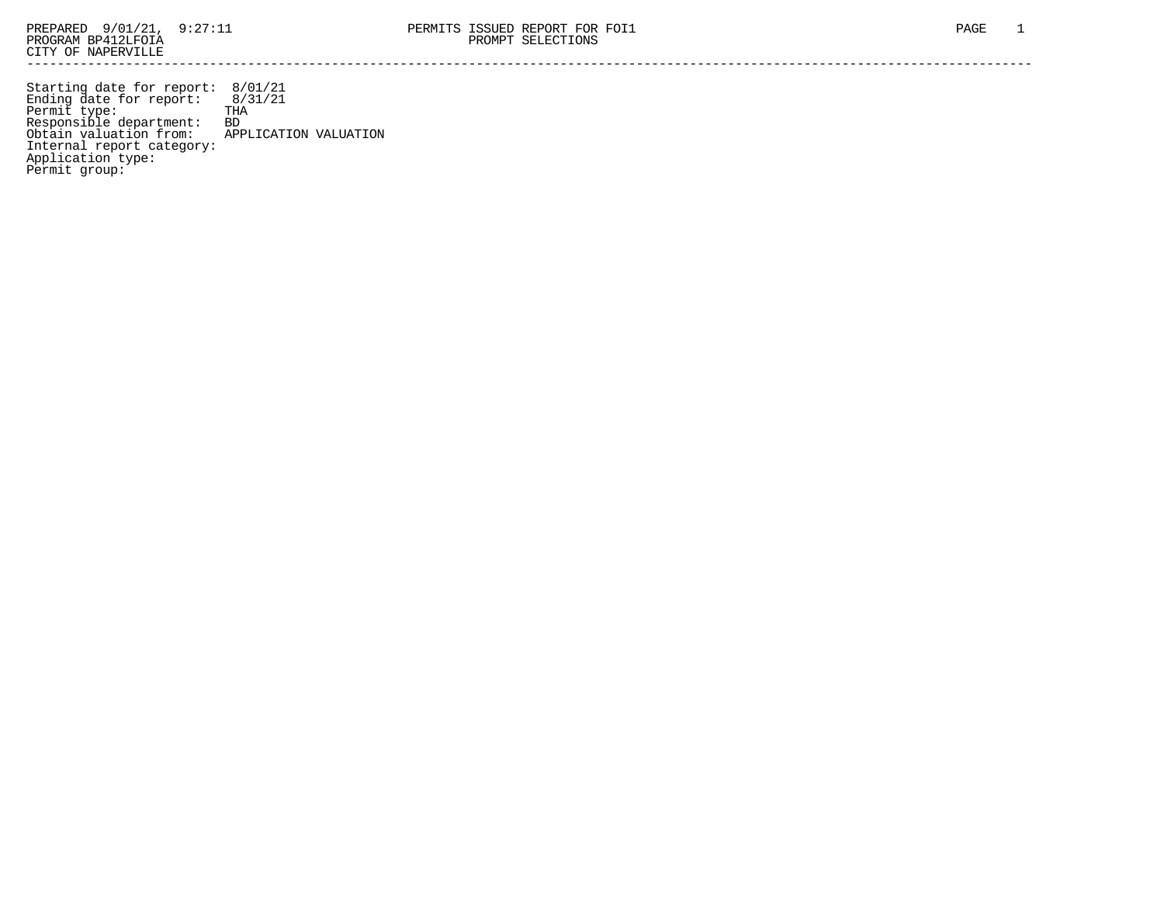Starting date for report: 8/01/21 Ending date for report: 8/31/21 Permit type: THA Responsible department: BD Obtain valuation from: APPLICATION VALUATION Internal report category: Application type: Permit group: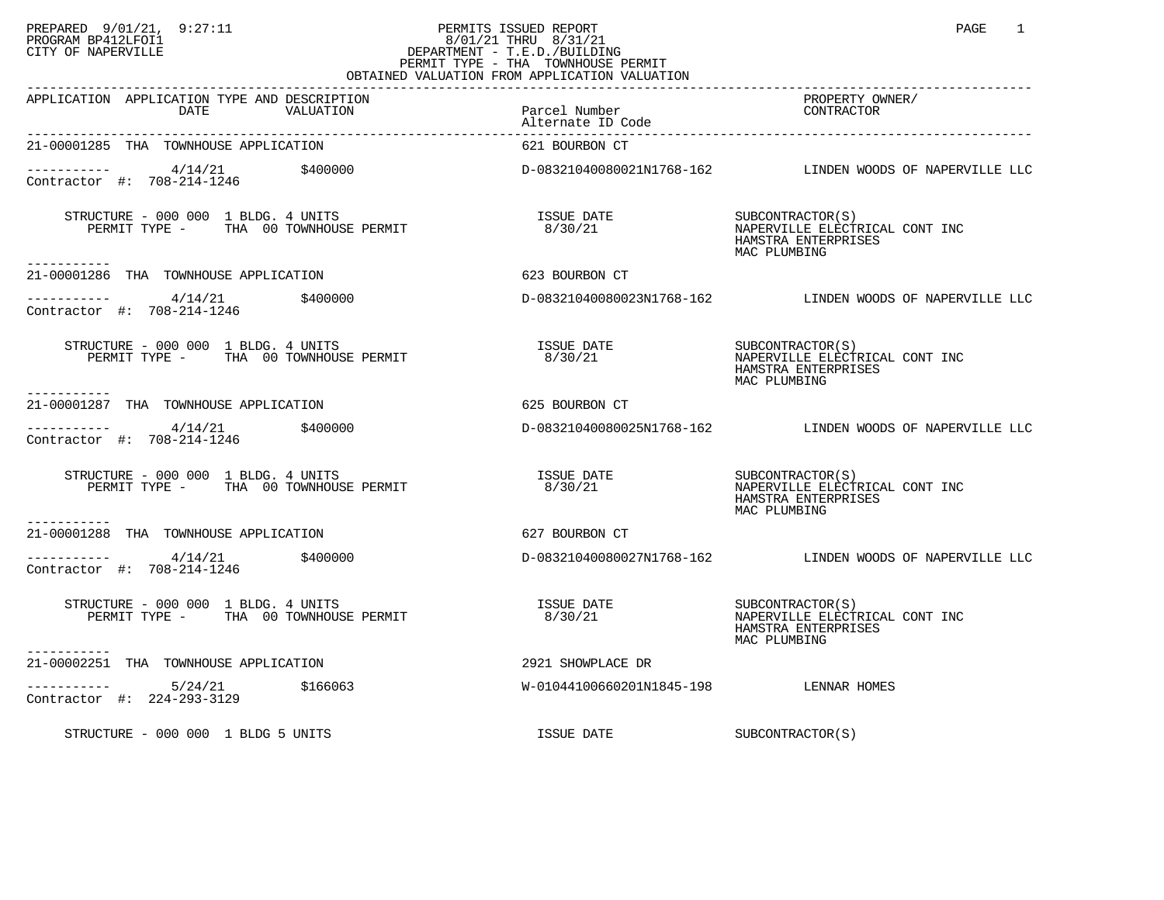## PREPARED 9/01/21, 9:27:11 PERMITS ISSUED REPORT PAGE 1 PROGRAM BP412LFOI1 8/01/21 THRU 8/31/21 CITY OF NAPERVILLE **Example 20** CITY OF NAPERVILLE PERMIT TYPE - THA TOWNHOUSE PERMIT OBTAINED VALUATION FROM APPLICATION VALUATION

| <b>ULLILLILL</b>                                                                                                       |                                                                       |                                                                                                                |
|------------------------------------------------------------------------------------------------------------------------|-----------------------------------------------------------------------|----------------------------------------------------------------------------------------------------------------|
| APPLICATION APPLICATION TYPE AND DESCRIPTION<br>DATE<br>VALUATION                                                      | Parcel Number<br>Alternate ID Code                                    | PROPERTY OWNER/<br>CONTRACTOR                                                                                  |
| 21-00001285 THA TOWNHOUSE APPLICATION                                                                                  | 621 BOURBON CT                                                        |                                                                                                                |
| $\frac{4}{14/21}$ \$400000<br>Contractor #: 708-214-1246<br>Contractor #: 708-214-1246                                 |                                                                       | D-08321040080021N1768-162  LINDEN WOODS OF NAPERVILLE LLC                                                      |
| STRUCTURE - 000 000 1 BLDG. 4 UNITS<br>PERMIT TYPE - THA 00 TOWNHOUSE PERMIT                                           | ISSUE DATE<br>8/30/21                                                 | SUBCONTRACTOR(S)<br>NAPERVILLE ELECTF<br>NAPERVILLE ELECTRICAL CONT INC<br>HAMSTRA ENTERPRISES<br>MAC PLUMBING |
| -----------<br>21-00001286 THA TOWNHOUSE APPLICATION                                                                   | 623 BOURBON CT                                                        |                                                                                                                |
| $---------$ 4/14/21 \$400000<br>Contractor #: 708-214-1246                                                             |                                                                       | D-08321040080023N1768-162 LINDEN WOODS OF NAPERVILLE LLC                                                       |
| STRUCTURE - 000 000 1 BLDG. 4 UNITS<br>PERMIT TYPE - THA 00 TOWNHOUSE PERMIT                                           | ISSUE DATE SUBCONTRACTOR(S)<br>8/30/21 MAPERVILLE ELECTRICAL CONT INC | HAMSTRA ENTERPRISES<br>MAC PLUMBING                                                                            |
| -----------<br>21-00001287 THA TOWNHOUSE APPLICATION                                                                   | 625 BOURBON CT                                                        |                                                                                                                |
| $\frac{4}{14/21}$ $\frac{4}{14}$ $\frac{4}{14}$ $\frac{4}{108}$ $\frac{400000}{108}$<br>Contractor #: 708-214-1246     |                                                                       | D-08321040080025N1768-162 LINDEN WOODS OF NAPERVILLE LLC                                                       |
| STRUCTURE - 000 000 1 BLDG. 4 UNITS<br>PERMIT TYPE - THA 00 TOWNHOUSE PERMIT                                           | ISSUE DATE SUBCONTRACTOR(S)<br>8/30/21                                | NAPERVILLE ELECTRICAL CONT INC<br>HAMSTRA ENTERPRISES<br>MAC PLUMBING                                          |
| -----------<br>21-00001288 THA TOWNHOUSE APPLICATION                                                                   | 627 BOURBON CT                                                        |                                                                                                                |
| $---------$ 4/14/21 \$400000<br>Contractor #: 708-214-1246                                                             |                                                                       | D-08321040080027N1768-162 LINDEN WOODS OF NAPERVILLE LLC                                                       |
| STRUCTURE - 000 000 1 BLDG. 4 UNITS<br>RUCTURE - 000 000 I BLDG. 4 UNITS<br>PERMIT TYPE -      THA 00 TOWNHOUSE PERMIT | <b>ISSUE DATE</b><br>8/30/21                                          | SUBCONTRACTOR(S)<br>NAPERVILLE ELECTI<br>NAPERVILLE ELECTRICAL CONT INC<br>HAMSTRA ENTERPRISES<br>MAC PLUMBING |
| -----------<br>21-00002251 THA TOWNHOUSE APPLICATION                                                                   | 2921 SHOWPLACE DR                                                     |                                                                                                                |
| $------ 5/24/21$ \$166063<br>Contractor #: 224-293-3129                                                                | W-01044100660201N1845-198 LENNAR HOMES                                |                                                                                                                |
| STRUCTURE - 000 000 1 BLDG 5 UNITS                                                                                     | ISSUE DATE                                                            | SUBCONTRACTOR(S)                                                                                               |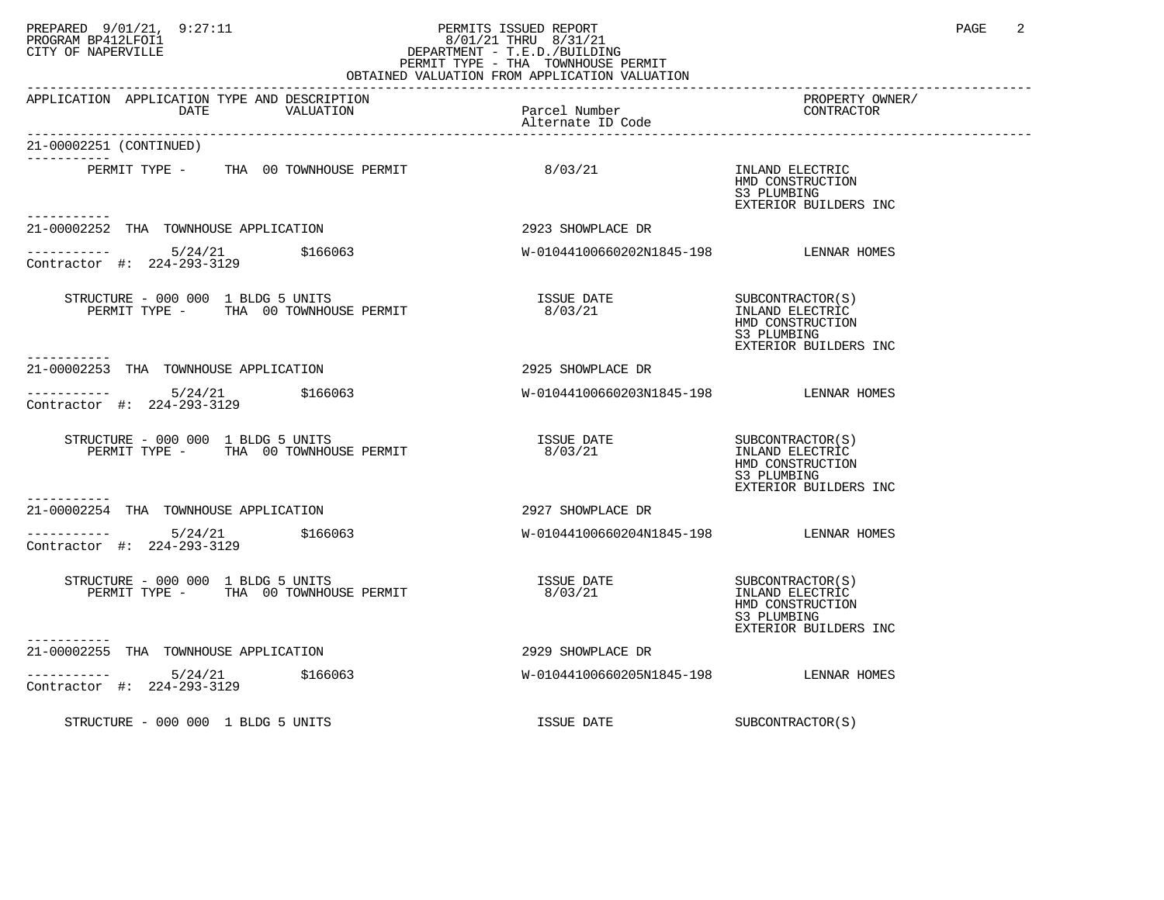## PREPARED 9/01/21, 9:27:11 PERMITS ISSUED REPORT PAGE 2 PROGRAM BP412LFOI1 8/01/21 THRU 8/31/21 CITY OF NAPERVILLE **Example 20** CITY OF NAPERVILLE PERMIT TYPE - THA TOWNHOUSE PERMIT OBTAINED VALUATION FROM APPLICATION VALUATION

| APPLICATION APPLICATION TYPE AND DESCRIPTION<br>DATE<br>VALUATION                         | Parcel Number<br>Alternate ID Code     | PROPERTY OWNER/<br>CONTRACTOR                                                                    |
|-------------------------------------------------------------------------------------------|----------------------------------------|--------------------------------------------------------------------------------------------------|
| 21-00002251 (CONTINUED)<br>---------                                                      |                                        |                                                                                                  |
| PERMIT TYPE - THA 00 TOWNHOUSE PERMIT<br>. <u>.</u>                                       | 8/03/21                                | INLAND ELECTRIC<br>HMD CONSTRUCTION<br>S3 PLUMBING<br>EXTERIOR BUILDERS INC                      |
| 21-00002252 THA TOWNHOUSE APPLICATION                                                     | 2923 SHOWPLACE DR                      |                                                                                                  |
| $--------- 5/24/21$ \$166063<br>Contractor #: 224-293-3129                                | W-01044100660202N1845-198 LENNAR HOMES |                                                                                                  |
| STRUCTURE - 000 000 1 BLDG 5 UNITS<br>PERMIT TYPE - THA 00 TOWNHOUSE PERMIT<br>---------- | <b>ISSUE DATE</b><br>8/03/21           | SUBCONTRACTOR(S)<br>INLAND ELECTRIC<br>HMD CONSTRUCTION<br>S3 PLUMBING<br>EXTERIOR BUILDERS INC  |
| 21-00002253 THA TOWNHOUSE APPLICATION                                                     | 2925 SHOWPLACE DR                      |                                                                                                  |
| ----------- 5/24/21 \$166063<br>Contractor #: 224-293-3129                                | W-01044100660203N1845-198 LENNAR HOMES |                                                                                                  |
| STRUCTURE - 000 000 1 BLDG 5 UNITS<br>PERMIT TYPE - THA 00 TOWNHOUSE PERMIT               | ISSUE DATE<br>8/03/21                  | SUBCONTRACTOR (S)<br>INLAND ELECTRIC<br>HMD CONSTRUCTION<br>S3 PLUMBING<br>EXTERIOR BUILDERS INC |
| ------------<br>21-00002254 THA TOWNHOUSE APPLICATION                                     | 2927 SHOWPLACE DR                      |                                                                                                  |
| $-$ --------- $5/24/21$ \$166063<br>Contractor #: 224-293-3129                            | W-01044100660204N1845-198 LENNAR HOMES |                                                                                                  |
| STRUCTURE - 000 000 1 BLDG 5 UNITS<br>PERMIT TYPE - THA 00 TOWNHOUSE PERMIT               | ISSUE DATE<br>8/03/21                  | SUBCONTRACTOR (S)<br>INLAND ELECTRIC<br>HMD CONSTRUCTION<br>S3 PLUMBING<br>EXTERIOR BUILDERS INC |
| ----------<br>21-00002255 THA TOWNHOUSE APPLICATION                                       | 2929 SHOWPLACE DR                      |                                                                                                  |
| $-$ --------- $5/24/21$ \$166063<br>Contractor #: 224-293-3129                            | W-01044100660205N1845-198 LENNAR HOMES |                                                                                                  |
| STRUCTURE - 000 000 1 BLDG 5 UNITS                                                        | ISSUE DATE                             | SUBCONTRACTOR(S)                                                                                 |